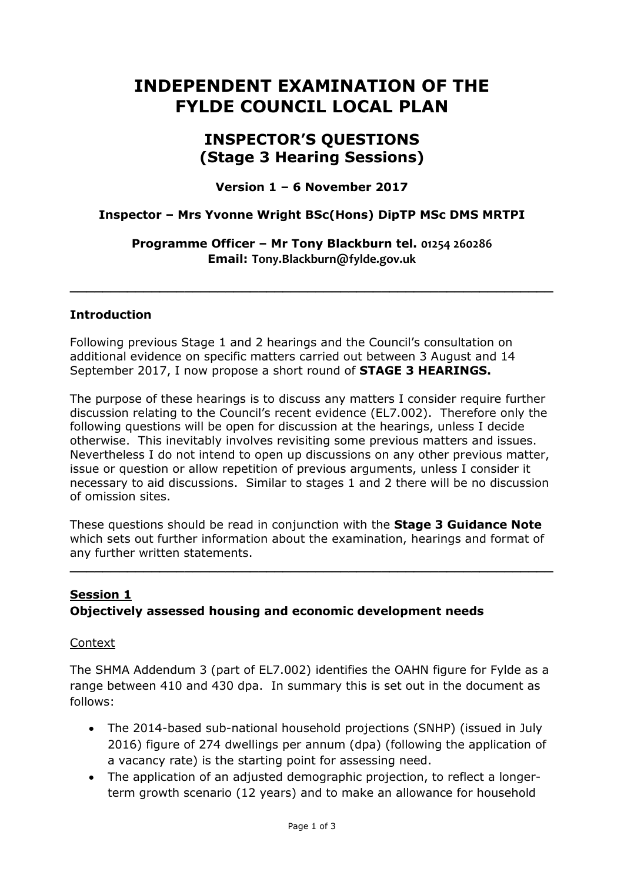# **INDEPENDENT EXAMINATION OF THE FYLDE COUNCIL LOCAL PLAN**

# **INSPECTOR'S QUESTIONS (Stage 3 Hearing Sessions)**

**Version 1 – 6 November 2017**

#### **Inspector – Mrs Yvonne Wright BSc(Hons) DipTP MSc DMS MRTPI**

**Programme Officer – Mr Tony Blackburn tel. 01254 260286 Email: Tony.Blackburn@fylde.gov.uk**

**\_\_\_\_\_\_\_\_\_\_\_\_\_\_\_\_\_\_\_\_\_\_\_\_\_\_\_\_\_\_\_\_\_\_\_\_\_\_\_\_\_\_\_\_\_\_\_\_\_\_\_\_\_\_\_\_\_\_\_**

#### **Introduction**

Following previous Stage 1 and 2 hearings and the Council's consultation on additional evidence on specific matters carried out between 3 August and 14 September 2017, I now propose a short round of **STAGE 3 HEARINGS.**

The purpose of these hearings is to discuss any matters I consider require further discussion relating to the Council's recent evidence (EL7.002). Therefore only the following questions will be open for discussion at the hearings, unless I decide otherwise. This inevitably involves revisiting some previous matters and issues. Nevertheless I do not intend to open up discussions on any other previous matter, issue or question or allow repetition of previous arguments, unless I consider it necessary to aid discussions. Similar to stages 1 and 2 there will be no discussion of omission sites.

These questions should be read in conjunction with the **Stage 3 Guidance Note**  which sets out further information about the examination, hearings and format of any further written statements.

**\_\_\_\_\_\_\_\_\_\_\_\_\_\_\_\_\_\_\_\_\_\_\_\_\_\_\_\_\_\_\_\_\_\_\_\_\_\_\_\_\_\_\_\_\_\_\_\_\_\_\_\_\_\_\_\_\_\_\_**

#### **Session 1 Objectively assessed housing and economic development needs**

Context

The SHMA Addendum 3 (part of EL7.002) identifies the OAHN figure for Fylde as a range between 410 and 430 dpa. In summary this is set out in the document as follows:

- The 2014-based sub-national household projections (SNHP) (issued in July 2016) figure of 274 dwellings per annum (dpa) (following the application of a vacancy rate) is the starting point for assessing need.
- The application of an adjusted demographic projection, to reflect a longerterm growth scenario (12 years) and to make an allowance for household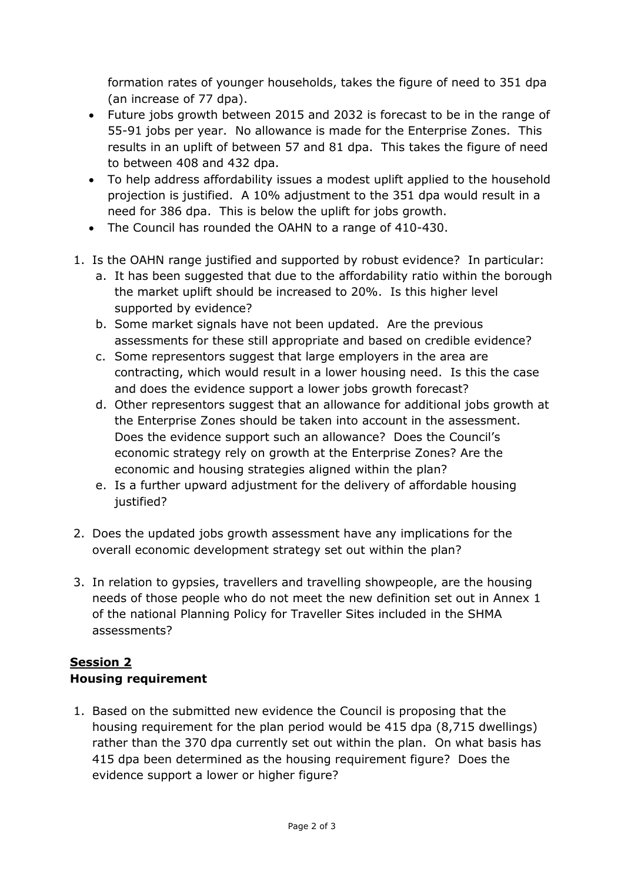formation rates of younger households, takes the figure of need to 351 dpa (an increase of 77 dpa).

- Future jobs growth between 2015 and 2032 is forecast to be in the range of 55-91 jobs per year. No allowance is made for the Enterprise Zones. This results in an uplift of between 57 and 81 dpa. This takes the figure of need to between 408 and 432 dpa.
- To help address affordability issues a modest uplift applied to the household projection is justified. A 10% adjustment to the 351 dpa would result in a need for 386 dpa. This is below the uplift for jobs growth.
- The Council has rounded the OAHN to a range of 410-430.
- 1. Is the OAHN range justified and supported by robust evidence? In particular:
	- a. It has been suggested that due to the affordability ratio within the borough the market uplift should be increased to 20%. Is this higher level supported by evidence?
	- b. Some market signals have not been updated. Are the previous assessments for these still appropriate and based on credible evidence?
	- c. Some representors suggest that large employers in the area are contracting, which would result in a lower housing need. Is this the case and does the evidence support a lower jobs growth forecast?
	- d. Other representors suggest that an allowance for additional jobs growth at the Enterprise Zones should be taken into account in the assessment. Does the evidence support such an allowance? Does the Council's economic strategy rely on growth at the Enterprise Zones? Are the economic and housing strategies aligned within the plan?
	- e. Is a further upward adjustment for the delivery of affordable housing justified?
- 2. Does the updated jobs growth assessment have any implications for the overall economic development strategy set out within the plan?
- 3. In relation to gypsies, travellers and travelling showpeople, are the housing needs of those people who do not meet the new definition set out in Annex 1 of the national Planning Policy for Traveller Sites included in the SHMA assessments?

## **Session 2 Housing requirement**

1. Based on the submitted new evidence the Council is proposing that the housing requirement for the plan period would be 415 dpa (8,715 dwellings) rather than the 370 dpa currently set out within the plan. On what basis has 415 dpa been determined as the housing requirement figure? Does the evidence support a lower or higher figure?